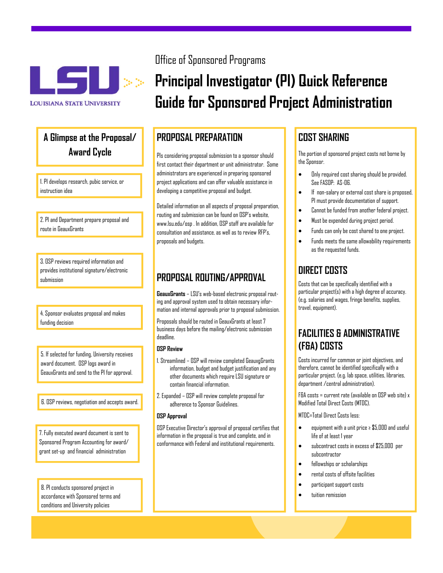

# Award Cycle **A Glimpse at the Proposal/ Award Cycle**

I. PI develops research, pubic service, or<br>instruction idea<br>... 1. PI develops research, pubic service, or instruction idea

2. PI and Department prepare proposal and<br>|-<br>| route in GeauxGrants route in GeauxGrants

Provides institutional signature/electronic<br>submission 3. OSP reviews required information and submission

**14. Sponsor evaluates proposal and makes**<br>**I** funding decision<br>**I E** 4. Sponsor evaluates proposal and makes funding decision

award document. OSP logs award in<br>BeauxGrants and send to the PI for approval. 5. If selected for funding, University receives award document. OSP logs award in GeauxGrants and send to the PI for approval.

 $\boxed{6.0 S$ P reviews, negotiation and accepts award.  $\boxed{\phantom{1}}$ 6. OSP reviews, negotiation and accepts award.

Sponsored Program Accounting for award/<br>grant set-up and financial administration 7. Fully executed award document is sent to grant set-up and financial administration

con ditions and University policies 8. PI conducts sponsored project in accordance with Sponsored terms and

# Office of Sponsored Programs

# **Principal Investigator (PI) Quick Reference Guide for Sponsored Project Administration**

### **PROPOSAL PREPARATION**

PIs considering proposal submission to a sponsor should first contact their department or unit administrator. Some administrators are experienced in preparing sponsored project applications and can offer valuable assistance in developing a competitive proposal and budget.

Detailed information on all aspects of proposal preparation, routing and submission can be found on OSP's website, <www.lsu.edu/osp>. In addition, OSP staff are available for consultation and assistance, as well as to review RFP's, proposals and budgets.

# **PROPOSAL ROUTING/APPROVAL**

**GeauxGrants** – LSU's web-based electronic proposal routing and approval system used to obtain necessary information and internal approvals prior to proposal submission.

Proposals should be routed in GeauxGrants at least 7 business days before the mailing/electronic submission deadline.

#### **OSP Review**

- 1. Streamlined OSP will review completed GeauxgGrants information, budget and budget justification and any other documents which require LSU signature or contain financial information.
- 2. Expanded OSP will review complete proposal for adherence to Sponsor Guidelines.

#### **OSP Approval**

OSP Executive Director's approval of proposal certifies that information in the proposal is true and complete, and in conformance with Federal and institutional requirements.

# **COST SHARING**

The portion of sponsored project costs not borne by the Sponsor.

- $\bullet$  Only required cost sharing should be provided. See FASOP: AS-06.
- If non-salary or external cost share is proposed, PI must provide documentation of support.
- Cannot be funded from another federal project.
- Must be expended during project period.
- Funds can only be cost shared to one project.
- Funds meets the same allowability requirements as the requested funds.

# **DIRECT COSTS**

Costs that can be specifically identified with a particular project(s) with a high degree of accuracy. (e.g. salaries and wages, fringe benefits, supplies, travel, equipment).

# **FACILITIES & ADMINISTRATIVE (F&A) COSTS**

Costs incurred for common or joint objectives, and therefore, cannot be identified specifically with a particular project. (e.g. lab space, utilities, libraries, department /central administration).

F&A costs = current rate (available on  $\n **USP**$  web site)  $x$ Modified Total Direct Costs (MTDC).

MTDC=Total Direct Costs less:

- equipment with a unit price ≥ \$5,000 and useful life of at least 1 year
- subcontract costs in excess of \$25,000 per subcontractor
- fellowships or scholarships
- rental costs of offsite facilities
- participant support costs
- tuition remission